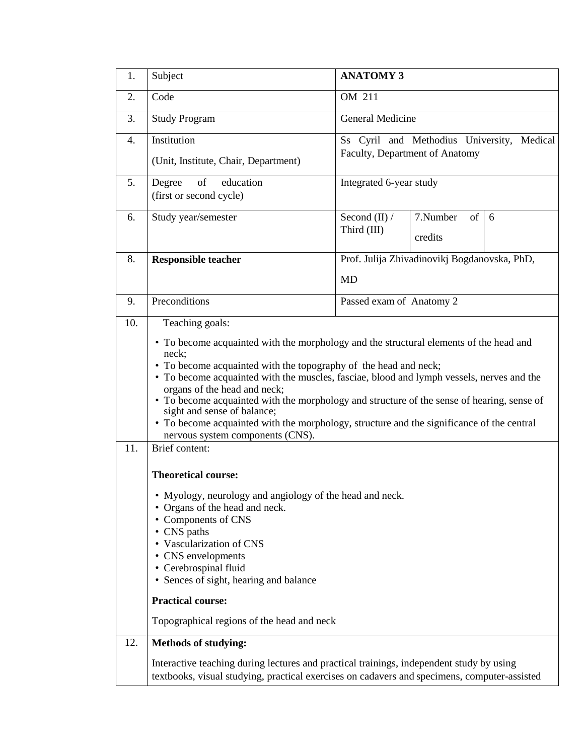| 1.         | Subject                                                                                                                                                                                                                                                                                                                                                                                                                                                                                                                                                                                                                                                                                                                                                                                                                                                                                                                                                            | <b>ANATOMY 3</b>                                                             |                                |  |  |  |  |  |  |
|------------|--------------------------------------------------------------------------------------------------------------------------------------------------------------------------------------------------------------------------------------------------------------------------------------------------------------------------------------------------------------------------------------------------------------------------------------------------------------------------------------------------------------------------------------------------------------------------------------------------------------------------------------------------------------------------------------------------------------------------------------------------------------------------------------------------------------------------------------------------------------------------------------------------------------------------------------------------------------------|------------------------------------------------------------------------------|--------------------------------|--|--|--|--|--|--|
| 2.         | Code                                                                                                                                                                                                                                                                                                                                                                                                                                                                                                                                                                                                                                                                                                                                                                                                                                                                                                                                                               | OM 211                                                                       |                                |  |  |  |  |  |  |
| 3.         | <b>Study Program</b>                                                                                                                                                                                                                                                                                                                                                                                                                                                                                                                                                                                                                                                                                                                                                                                                                                                                                                                                               | <b>General Medicine</b>                                                      |                                |  |  |  |  |  |  |
| 4.         | Institution<br>(Unit, Institute, Chair, Department)                                                                                                                                                                                                                                                                                                                                                                                                                                                                                                                                                                                                                                                                                                                                                                                                                                                                                                                | Ss Cyril and Methodius University, Medical<br>Faculty, Department of Anatomy |                                |  |  |  |  |  |  |
| 5.         | of<br>education<br>Degree<br>(first or second cycle)                                                                                                                                                                                                                                                                                                                                                                                                                                                                                                                                                                                                                                                                                                                                                                                                                                                                                                               | Integrated 6-year study                                                      |                                |  |  |  |  |  |  |
| 6.         | Study year/semester                                                                                                                                                                                                                                                                                                                                                                                                                                                                                                                                                                                                                                                                                                                                                                                                                                                                                                                                                | Second $(II)$ /<br>Third (III)                                               | 7.Number<br>of<br>6<br>credits |  |  |  |  |  |  |
| 8.         | <b>Responsible teacher</b>                                                                                                                                                                                                                                                                                                                                                                                                                                                                                                                                                                                                                                                                                                                                                                                                                                                                                                                                         | Prof. Julija Zhivadinovikj Bogdanovska, PhD,                                 |                                |  |  |  |  |  |  |
|            |                                                                                                                                                                                                                                                                                                                                                                                                                                                                                                                                                                                                                                                                                                                                                                                                                                                                                                                                                                    | <b>MD</b>                                                                    |                                |  |  |  |  |  |  |
| 9.         | Preconditions                                                                                                                                                                                                                                                                                                                                                                                                                                                                                                                                                                                                                                                                                                                                                                                                                                                                                                                                                      | Passed exam of Anatomy 2                                                     |                                |  |  |  |  |  |  |
| 10.<br>11. | Teaching goals:<br>• To become acquainted with the morphology and the structural elements of the head and<br>neck:<br>• To become acquainted with the topography of the head and neck;<br>• To become acquainted with the muscles, fasciae, blood and lymph vessels, nerves and the<br>organs of the head and neck;<br>• To become acquainted with the morphology and structure of the sense of hearing, sense of<br>sight and sense of balance;<br>• To become acquainted with the morphology, structure and the significance of the central<br>nervous system components (CNS).<br>Brief content:<br><b>Theoretical course:</b><br>Myology, neurology and angiology of the head and neck.<br>• Organs of the head and neck.<br>• Components of CNS<br>• CNS paths<br>• Vascularization of CNS<br>• CNS envelopments<br>• Cerebrospinal fluid<br>• Sences of sight, hearing and balance<br><b>Practical course:</b><br>Topographical regions of the head and neck |                                                                              |                                |  |  |  |  |  |  |
| 12.        | <b>Methods of studying:</b><br>Interactive teaching during lectures and practical trainings, independent study by using<br>textbooks, visual studying, practical exercises on cadavers and specimens, computer-assisted                                                                                                                                                                                                                                                                                                                                                                                                                                                                                                                                                                                                                                                                                                                                            |                                                                              |                                |  |  |  |  |  |  |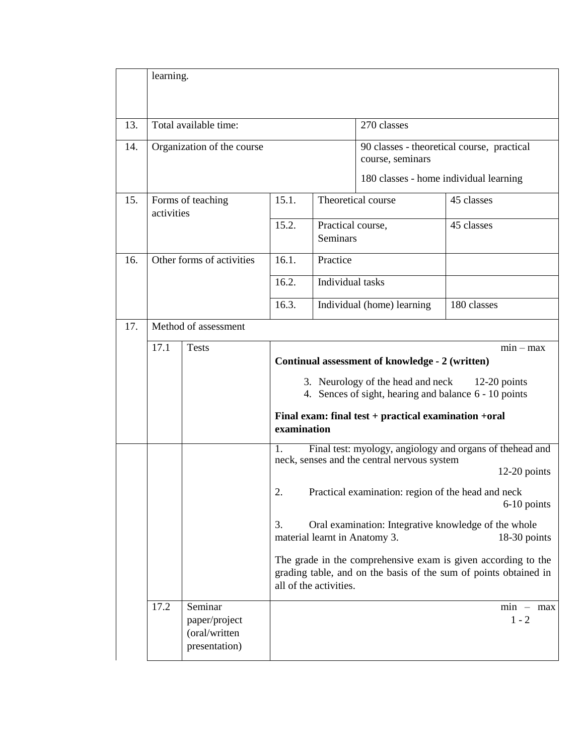|     | learning.            |                                                 |                                                                                                                                                                                                                                                                                                                                                                                                                                                                                                                                                                                                                                                                                                                                                   |                                      |                                                                |             |                        |
|-----|----------------------|-------------------------------------------------|---------------------------------------------------------------------------------------------------------------------------------------------------------------------------------------------------------------------------------------------------------------------------------------------------------------------------------------------------------------------------------------------------------------------------------------------------------------------------------------------------------------------------------------------------------------------------------------------------------------------------------------------------------------------------------------------------------------------------------------------------|--------------------------------------|----------------------------------------------------------------|-------------|------------------------|
| 13. |                      | Total available time:                           |                                                                                                                                                                                                                                                                                                                                                                                                                                                                                                                                                                                                                                                                                                                                                   |                                      | 270 classes                                                    |             |                        |
| 14. |                      | Organization of the course                      |                                                                                                                                                                                                                                                                                                                                                                                                                                                                                                                                                                                                                                                                                                                                                   |                                      | 90 classes - theoretical course, practical<br>course, seminars |             |                        |
|     |                      |                                                 |                                                                                                                                                                                                                                                                                                                                                                                                                                                                                                                                                                                                                                                                                                                                                   |                                      | 180 classes - home individual learning                         |             |                        |
| 15. | activities           | Forms of teaching                               | 15.1.                                                                                                                                                                                                                                                                                                                                                                                                                                                                                                                                                                                                                                                                                                                                             |                                      | Theoretical course                                             | 45 classes  |                        |
|     |                      |                                                 |                                                                                                                                                                                                                                                                                                                                                                                                                                                                                                                                                                                                                                                                                                                                                   | Practical course,<br><b>Seminars</b> |                                                                | 45 classes  |                        |
| 16. |                      | Other forms of activities                       | 16.1.                                                                                                                                                                                                                                                                                                                                                                                                                                                                                                                                                                                                                                                                                                                                             | Practice                             |                                                                |             |                        |
|     |                      |                                                 | 16.2.                                                                                                                                                                                                                                                                                                                                                                                                                                                                                                                                                                                                                                                                                                                                             | Individual tasks                     |                                                                |             |                        |
|     |                      |                                                 |                                                                                                                                                                                                                                                                                                                                                                                                                                                                                                                                                                                                                                                                                                                                                   |                                      | Individual (home) learning                                     | 180 classes |                        |
| 17. | Method of assessment |                                                 |                                                                                                                                                                                                                                                                                                                                                                                                                                                                                                                                                                                                                                                                                                                                                   |                                      |                                                                |             |                        |
|     | 17.1<br>17.2         | <b>Tests</b><br>Seminar                         | $min - max$<br>Continual assessment of knowledge - 2 (written)<br>3. Neurology of the head and neck<br>$12-20$ points<br>4. Sences of sight, hearing and balance 6 - 10 points<br>Final exam: final test + practical examination +oral<br>examination<br>Final test: myology, angiology and organs of thehead and<br>1.<br>neck, senses and the central nervous system<br>$12-20$ points<br>2.<br>Practical examination: region of the head and neck<br>6-10 points<br>3.<br>Oral examination: Integrative knowledge of the whole<br>material learnt in Anatomy 3.<br>18-30 points<br>The grade in the comprehensive exam is given according to the<br>grading table, and on the basis of the sum of points obtained in<br>all of the activities. |                                      |                                                                |             |                        |
|     |                      | paper/project<br>(oral/written<br>presentation) |                                                                                                                                                                                                                                                                                                                                                                                                                                                                                                                                                                                                                                                                                                                                                   |                                      |                                                                |             | $min - max$<br>$1 - 2$ |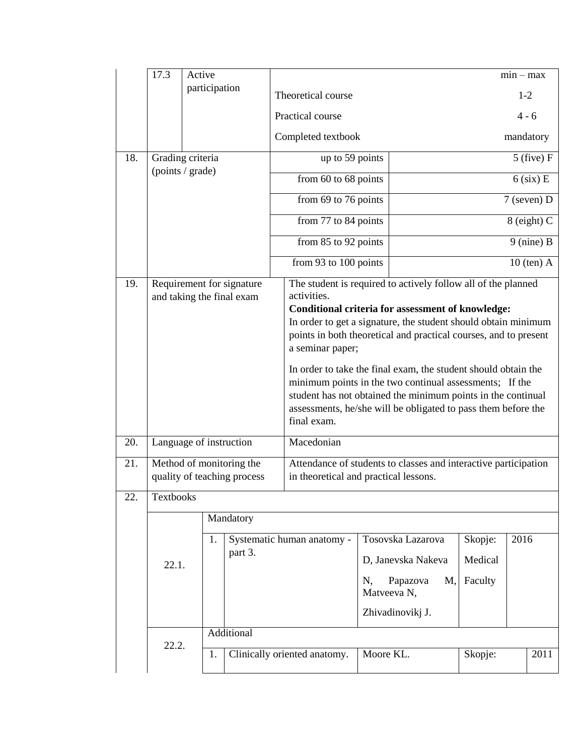|     | 17.3                                                    | Active |               |                                                                                                          |                              |                                                                                                                                                                                                                                                                           |    |                               |              |             | $min - max$   |  |
|-----|---------------------------------------------------------|--------|---------------|----------------------------------------------------------------------------------------------------------|------------------------------|---------------------------------------------------------------------------------------------------------------------------------------------------------------------------------------------------------------------------------------------------------------------------|----|-------------------------------|--------------|-------------|---------------|--|
|     |                                                         |        | participation |                                                                                                          |                              | Theoretical course                                                                                                                                                                                                                                                        |    |                               |              | $1 - 2$     |               |  |
|     |                                                         |        |               |                                                                                                          |                              | Practical course                                                                                                                                                                                                                                                          |    |                               |              |             | $4 - 6$       |  |
|     |                                                         |        |               |                                                                                                          |                              | Completed textbook                                                                                                                                                                                                                                                        |    |                               |              |             | mandatory     |  |
| 18. | Grading criteria                                        |        |               |                                                                                                          | up to 59 points              |                                                                                                                                                                                                                                                                           |    | $5$ (five) $F$                |              |             |               |  |
|     | (points / grade)                                        |        |               |                                                                                                          |                              | from 60 to 68 points                                                                                                                                                                                                                                                      |    |                               |              |             | $6$ (six) E   |  |
|     |                                                         |        |               |                                                                                                          |                              | from 69 to 76 points                                                                                                                                                                                                                                                      |    |                               |              |             | $7$ (seven) D |  |
|     |                                                         |        |               |                                                                                                          |                              | from 77 to 84 points                                                                                                                                                                                                                                                      |    |                               |              | 8 (eight) C |               |  |
|     |                                                         |        |               |                                                                                                          |                              | from 85 to 92 points                                                                                                                                                                                                                                                      |    |                               | $9$ (nine) B |             |               |  |
|     |                                                         |        |               |                                                                                                          |                              | from 93 to 100 points                                                                                                                                                                                                                                                     |    |                               | $10$ (ten) A |             |               |  |
| 19. | Requirement for signature<br>and taking the final exam  |        |               |                                                                                                          |                              | The student is required to actively follow all of the planned<br>activities.<br><b>Conditional criteria for assessment of knowledge:</b>                                                                                                                                  |    |                               |              |             |               |  |
|     |                                                         |        |               |                                                                                                          |                              | In order to get a signature, the student should obtain minimum<br>points in both theoretical and practical courses, and to present<br>a seminar paper;                                                                                                                    |    |                               |              |             |               |  |
|     |                                                         |        |               |                                                                                                          |                              | In order to take the final exam, the student should obtain the<br>minimum points in the two continual assessments; If the<br>student has not obtained the minimum points in the continual<br>assessments, he/she will be obligated to pass them before the<br>final exam. |    |                               |              |             |               |  |
| 20. | Language of instruction                                 |        |               |                                                                                                          |                              | Macedonian                                                                                                                                                                                                                                                                |    |                               |              |             |               |  |
| 21. | Method of monitoring the<br>quality of teaching process |        |               | Attendance of students to classes and interactive participation<br>in theoretical and practical lessons. |                              |                                                                                                                                                                                                                                                                           |    |                               |              |             |               |  |
| 22. | Textbooks                                               |        |               |                                                                                                          |                              |                                                                                                                                                                                                                                                                           |    |                               |              |             |               |  |
|     |                                                         |        | Mandatory     |                                                                                                          |                              |                                                                                                                                                                                                                                                                           |    |                               |              |             |               |  |
|     | 22.1.                                                   |        | 1.            |                                                                                                          |                              | Systematic human anatomy -                                                                                                                                                                                                                                                |    | Tosovska Lazarova             | Skopje:      | 2016        |               |  |
|     |                                                         |        |               | part 3.                                                                                                  |                              |                                                                                                                                                                                                                                                                           |    | D, Janevska Nakeva            | Medical      |             |               |  |
|     |                                                         |        |               |                                                                                                          |                              |                                                                                                                                                                                                                                                                           | N, | Papazova<br>M,<br>Matveeva N, | Faculty      |             |               |  |
|     |                                                         |        |               |                                                                                                          |                              |                                                                                                                                                                                                                                                                           |    | Zhivadinovikj J.              |              |             |               |  |
|     |                                                         |        |               | Additional                                                                                               |                              |                                                                                                                                                                                                                                                                           |    |                               |              |             |               |  |
|     | 22.2.                                                   |        |               |                                                                                                          | Clinically oriented anatomy. |                                                                                                                                                                                                                                                                           |    | Moore KL.                     | Skopje:      |             | 2011          |  |